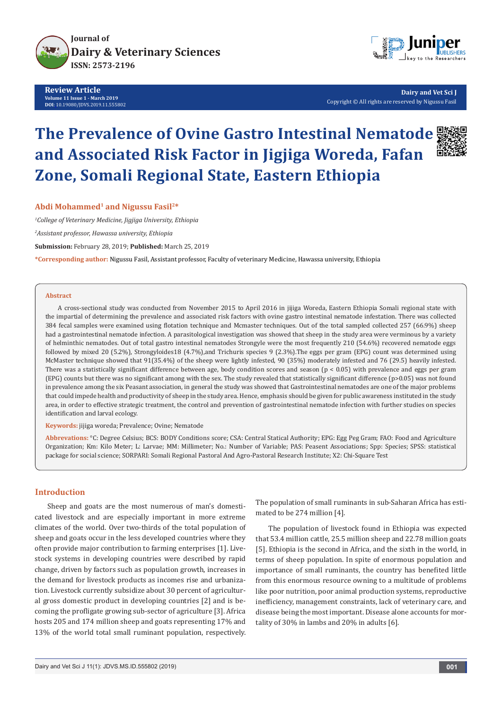

**Review Article Volume 11 Issue 1 - March 2019 DOI**: [10.19080/JDVS.2019.11.555802](http://dx.doi.org/10.19080/JDVS.2019.11.555802)



**Dairy and Vet Sci J** Copyright © All rights are reserved by Nigussu Fasil

# **The Prevalence of Ovine Gastro Intestinal Nematode and Associated Risk Factor in Jigjiga Woreda, Fafan Zone, Somali Regional State, Eastern Ethiopia**



## **Abdi Mohammed1 and Nigussu Fasil2\***

*1 College of Veterinary Medicine, Jigjiga University, Ethiopia*

*2 Assistant professor, Hawassa university, Ethiopia*

**Submission:** February 28, 2019; **Published:** March 25, 2019

**\*Corresponding author:** Nigussu Fasil, Assistant professor, Faculty of veterinary Medicine, Hawassa university, Ethiopia

#### **Abstract**

A cross-sectional study was conducted from November 2015 to April 2016 in jijiga Woreda, Eastern Ethiopia Somali regional state with the impartial of determining the prevalence and associated risk factors with ovine gastro intestinal nematode infestation. There was collected 384 fecal samples were examined using flotation technique and Mcmaster techniques. Out of the total sampled collected 257 (66.9%) sheep had a gastrointestinal nematode infection. A parasitological investigation was showed that sheep in the study area were verminous by a variety of helminthic nematodes. Out of total gastro intestinal nematodes Strongyle were the most frequently 210 (54.6%) recovered nematode eggs followed by mixed 20 (5.2%), Strongyloides18 (4.7%),and Trichuris species 9 (2.3%).The eggs per gram (EPG) count was determined using McMaster technique showed that 91(35.4%) of the sheep were lightly infested, 90 (35%) moderately infested and 76 (29.5) heavily infested. There was a statistically significant difference between age, body condition scores and season ( $p < 0.05$ ) with prevalence and eggs per gram (EPG) counts but there was no significant among with the sex. The study revealed that statistically significant difference (p>0.05) was not found in prevalence among the six Peasant association, in general the study was showed that Gastrointestinal nematodes are one of the major problems that could impede health and productivity of sheep in the study area. Hence, emphasis should be given for public awareness instituted in the study area, in order to effective strategic treatment, the control and prevention of gastrointestinal nematode infection with further studies on species identification and larval ecology.

**Keywords:** jijiga woreda; Prevalence; Ovine; Nematode

**Abbrevations:** °C: Degree Celsius; BCS: BODY Conditions score; CSA: Central Statical Authority; EPG: Egg Peg Gram; FAO: Food and Agriculture Organization; Km: Kilo Meter; L: Larvae; MM: Millimeter; No.: Number of Variable; PAS: Peasent Associations; Spp: Species; SPSS: statistical package for social science; SORPARI: Somali Regional Pastoral And Agro-Pastoral Research Institute; X2: Chi-Square Test

## **Introduction**

Sheep and goats are the most numerous of man's domesticated livestock and are especially important in more extreme climates of the world. Over two-thirds of the total population of sheep and goats occur in the less developed countries where they often provide major contribution to farming enterprises [1]. Livestock systems in developing countries were described by rapid change, driven by factors such as population growth, increases in the demand for livestock products as incomes rise and urbanization. Livestock currently subsidize about 30 percent of agricultural gross domestic product in developing countries [2] and is becoming the profligate growing sub-sector of agriculture [3]. Africa hosts 205 and 174 million sheep and goats representing 17% and 13% of the world total small ruminant population, respectively.

The population of small ruminants in sub-Saharan Africa has estimated to be 274 million [4].

The population of livestock found in Ethiopia was expected that 53.4 million cattle, 25.5 million sheep and 22.78 million goats [5]. Ethiopia is the second in Africa, and the sixth in the world, in terms of sheep population. In spite of enormous population and importance of small ruminants, the country has benefited little from this enormous resource owning to a multitude of problems like poor nutrition, poor animal production systems, reproductive inefficiency, management constraints, lack of veterinary care, and disease being the most important. Disease alone accounts for mortality of 30% in lambs and 20% in adults [6].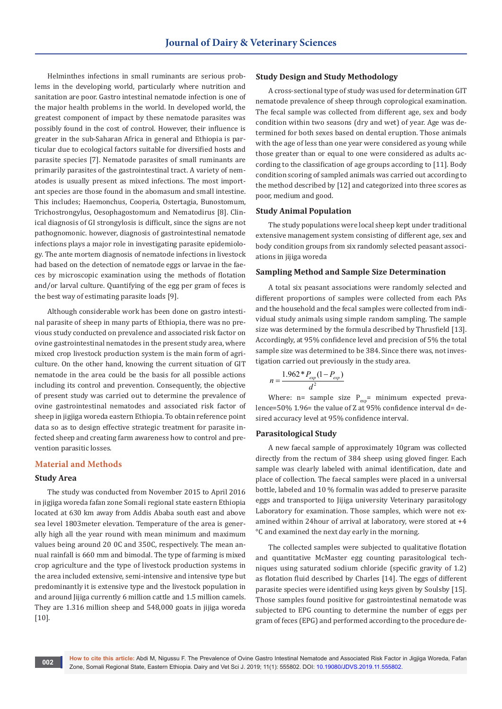Helminthes infections in small ruminants are serious problems in the developing world, particularly where nutrition and sanitation are poor. Gastro intestinal nematode infection is one of the major health problems in the world. In developed world, the greatest component of impact by these nematode parasites was possibly found in the cost of control. However, their influence is greater in the sub-Saharan Africa in general and Ethiopia is particular due to ecological factors suitable for diversified hosts and parasite species [7]. Nematode parasites of small ruminants are primarily parasites of the gastrointestinal tract. A variety of nematodes is usually present as mixed infections. The most important species are those found in the abomasum and small intestine. This includes; Haemonchus, Cooperia, Ostertagia, Bunostomum, Trichostrongylus, Oesophagostomum and Nematodirus [8]. Clinical diagnosis of GI strongylosis is difficult, since the signs are not pathognomonic. however, diagnosis of gastrointestinal nematode infections plays a major role in investigating parasite epidemiology. The ante mortem diagnosis of nematode infections in livestock had based on the detection of nematode eggs or larvae in the faeces by microscopic examination using the methods of flotation and/or larval culture. Quantifying of the egg per gram of feces is the best way of estimating parasite loads [9].

Although considerable work has been done on gastro intestinal parasite of sheep in many parts of Ethiopia, there was no previous study conducted on prevalence and associated risk factor on ovine gastrointestinal nematodes in the present study area, where mixed crop livestock production system is the main form of agriculture. On the other hand, knowing the current situation of GIT nematode in the area could be the basis for all possible actions including its control and prevention. Consequently, the objective of present study was carried out to determine the prevalence of ovine gastrointestinal nematodes and associated risk factor of sheep in jigjiga woreda eastern Ethiopia. To obtain reference point data so as to design effective strategic treatment for parasite infected sheep and creating farm awareness how to control and prevention parasitic losses.

# **Material and Methods**

## **Study Area**

The study was conducted from November 2015 to April 2016 in jigjiga woreda fafan zone Somali regional state eastern Ethiopia located at 630 km away from Addis Ababa south east and above sea level 1803meter elevation. Temperature of the area is generally high all the year round with mean minimum and maximum values being around 20 0C and 350C, respectively. The mean annual rainfall is 660 mm and bimodal. The type of farming is mixed crop agriculture and the type of livestock production systems in the area included extensive, semi-intensive and intensive type but predominantly it is extensive type and the livestock population in and around Jijiga currently 6 million cattle and 1.5 million camels. They are 1.316 million sheep and 548,000 goats in jijiga woreda [10].

## **Study Design and Study Methodology**

A cross-sectional type of study was used for determination GIT nematode prevalence of sheep through coprological examination. The fecal sample was collected from different age, sex and body condition within two seasons (dry and wet) of year. Age was determined for both sexes based on dental eruption. Those animals with the age of less than one year were considered as young while those greater than or equal to one were considered as adults according to the classification of age groups according to [11]. Body condition scoring of sampled animals was carried out according to the method described by [12] and categorized into three scores as poor, medium and good.

## **Study Animal Population**

The study populations were local sheep kept under traditional extensive management system consisting of different age, sex and body condition groups from six randomly selected peasant associations in jijiga woreda

## **Sampling Method and Sample Size Determination**

A total six peasant associations were randomly selected and different proportions of samples were collected from each PAs and the household and the fecal samples were collected from individual study animals using simple random sampling. The sample size was determined by the formula described by Thrusfield [13]. Accordingly, at 95% confidence level and precision of 5% the total sample size was determined to be 384. Since there was, not investigation carried out previously in the study area.

$$
n = \frac{1.962 * P_{exp}(1 - P_{exp})}{d^2}
$$

Where:  $n=$  sample size  $P_{\text{exp}}=$  minimum expected prevalence=50% 1.96= the value of Z at 95% confidence interval d= desired accuracy level at 95% confidence interval.

#### **Parasitological Study**

A new faecal sample of approximately 10gram was collected directly from the rectum of 384 sheep using gloved finger. Each sample was clearly labeled with animal identification, date and place of collection. The faecal samples were placed in a universal bottle, labeled and 10 % formalin was added to preserve parasite eggs and transported to Jijiga university Veterinary parasitology Laboratory for examination. Those samples, which were not examined within 24hour of arrival at laboratory, were stored at +4 °C and examined the next day early in the morning.

The collected samples were subjected to qualitative flotation and quantitative McMaster egg counting parasitological techniques using saturated sodium chloride (specific gravity of 1.2) as flotation fluid described by Charles [14]. The eggs of different parasite species were identified using keys given by Soulsby [15]. Those samples found positive for gastrointestinal nematode was subjected to EPG counting to determine the number of eggs per gram of feces (EPG) and performed according to the procedure de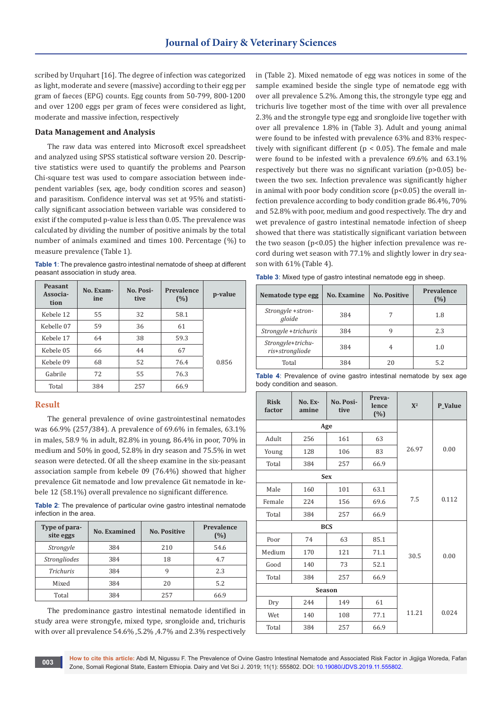scribed by Urquhart [16]. The degree of infection was categorized as light, moderate and severe (massive) according to their egg per gram of faeces (EPG) counts. Egg counts from 50-799, 800-1200 and over 1200 eggs per gram of feces were considered as light, moderate and massive infection, respectively

## **Data Management and Analysis**

The raw data was entered into Microsoft excel spreadsheet and analyzed using SPSS statistical software version 20. Descriptive statistics were used to quantify the problems and Pearson Chi-square test was used to compare association between independent variables (sex, age, body condition scores and season) and parasitism. Confidence interval was set at 95% and statistically significant association between variable was considered to exist if the computed p-value is less than 0.05. The prevalence was calculated by dividing the number of positive animals by the total number of animals examined and times 100. Percentage (%) to measure prevalence (Table 1).

| <b>Table 1:</b> The prevalence gastro intestinal nematode of sheep at different |
|---------------------------------------------------------------------------------|
| peasant association in study area.                                              |

| <b>Peasant</b><br>Associa-<br>tion | No. Exam-<br>ine | No. Posi-<br>tive | Prevalence<br>(%) | p-value |
|------------------------------------|------------------|-------------------|-------------------|---------|
| Kebele 12                          | 55               | 32                | 58.1              |         |
| Kebelle 07                         | 59               | 36                | 61                |         |
| Kebele 17                          | 64               | 38                | 59.3              |         |
| Kebele 05                          | 66               | 44                | 67                |         |
| Kebele 09                          | 68               | 52                | 76.4              | 0.856   |
| Gabrile                            | 72               | 55                | 76.3              |         |
| Total                              | 384              | 257               | 66.9              |         |

# **Result**

The general prevalence of ovine gastrointestinal nematodes was 66.9% (257/384). A prevalence of 69.6% in females, 63.1% in males, 58.9 % in adult, 82.8% in young, 86.4% in poor, 70% in medium and 50% in good, 52.8% in dry season and 75.5% in wet season were detected. Of all the sheep examine in the six-peasant association sample from kebele 09 (76.4%) showed that higher prevalence Git nematode and low prevalence Git nematode in kebele 12 (58.1%) overall prevalence no significant difference.

**Table 2**: The prevalence of particular ovine gastro intestinal nematode infection in the area.

| Type of para-<br>site eggs | No. Examined | <b>No. Positive</b> | Prevalence<br>(%) |
|----------------------------|--------------|---------------------|-------------------|
| Strongyle                  | 384          | 210                 | 54.6              |
| <b>Strongliodes</b>        | 384          | 18                  | 4.7               |
| <b>Trichuris</b>           | 384          | q                   | 2.3               |
| Mixed                      | 384          | 20                  | 5.2               |
| Total                      | 384          | 257                 | 66.9              |

The predominance gastro intestinal nematode identified in study area were strongyle, mixed type, srongloide and, trichuris with over all prevalence 54.6% ,5.2% ,4.7% and 2.3% respectively in (Table 2). Mixed nematode of egg was notices in some of the sample examined beside the single type of nematode egg with over all prevalence 5.2%. Among this, the strongyle type egg and trichuris live together most of the time with over all prevalence 2.3% and the strongyle type egg and srongloide live together with over all prevalence 1.8% in (Table 3). Adult and young animal were found to be infested with prevalence 63% and 83% respectively with significant different ( $p < 0.05$ ). The female and male were found to be infested with a prevalence 69.6% and 63.1% respectively but there was no significant variation (p>0.05) between the two sex. Infection prevalence was significantly higher in animal with poor body condition score  $(p<0.05)$  the overall infection prevalence according to body condition grade 86.4%, 70% and 52.8% with poor, medium and good respectively. The dry and wet prevalence of gastro intestinal nematode infection of sheep showed that there was statistically significant variation between the two season  $(p<0.05)$  the higher infection prevalence was record during wet season with 77.1% and slightly lower in dry season with 61% (Table 4).

**Table 3**: Mixed type of gastro intestinal nematode egg in sheep.

| Nematode type egg                    | No. Examine | <b>No. Positive</b> | Prevalence<br>(%) |
|--------------------------------------|-------------|---------------------|-------------------|
| Strongyle +stron-<br>gloide          | 384         |                     | 1.8               |
| Strongyle +trichuris                 | 384         | q                   | 2.3               |
| Strongyle+trichu-<br>ris+strongliode | 384         | 4                   | 1.0               |
| Total                                | 384         | 20                  | 5.2               |

|  |                            |  |  | <b>Table 4:</b> Prevalence of ovine gastro intestinal nematode by sex age |  |  |
|--|----------------------------|--|--|---------------------------------------------------------------------------|--|--|
|  | body condition and season. |  |  |                                                                           |  |  |

| <b>Risk</b><br>factor | No. Ex-<br>amine | No. Posi-<br>tive | Preva-<br>lence<br>(%) | ${\bf X}^2$ | P_Value |
|-----------------------|------------------|-------------------|------------------------|-------------|---------|
|                       | Age              |                   |                        |             |         |
| Adult                 | 256              | 161               | 63                     |             | 0.00    |
| Young                 | 128              | 106               | 83                     | 26.97       |         |
| Total                 | 384              | 257               | 66.9                   |             |         |
|                       |                  | <b>Sex</b>        |                        |             |         |
| Male                  | 160              | 101               | 63.1                   |             | 0.112   |
| Female                | 224              | 156               | 69.6                   | 7.5         |         |
| Total                 | 384              | 257               | 66.9                   |             |         |
|                       | <b>BCS</b>       |                   |                        |             |         |
| Poor                  | 74               | 63                | 85.1                   |             | 0.00    |
| Medium                | 170              | 121               | 71.1                   | 30.5        |         |
| Good                  | 140              | 73                | 52.1                   |             |         |
| Total                 | 384              | 257               | 66.9                   |             |         |
|                       | <b>Season</b>    |                   |                        |             |         |
| Dry                   | 244              | 149               | 61                     |             | 0.024   |
| Wet                   | 140              | 108               | 77.1                   | 11.21       |         |
| Total                 | 384              | 257               | 66.9                   |             |         |

**How to cite this article:** Abdi M, Nigussu F. The Prevalence of Ovine Gastro Intestinal Nematode and Associated Risk Factor in Jigjiga Woreda, Fafan Zone, Somali Regional State, Eastern Ethiopia. Dairy and Vet Sci J. 2019; 11(1): 555802. DOI: [10.19080/JDVS.2019.11.555802.](http://dx.doi.org/10.19080/JDVS.2019.11.555802) **<sup>003</sup>**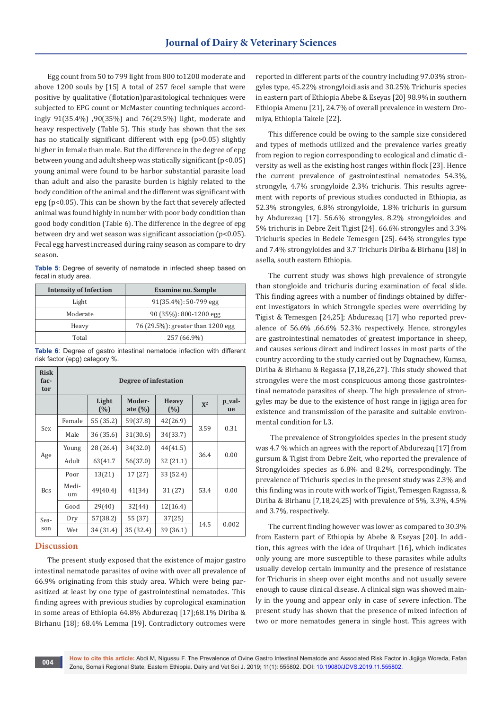Egg count from 50 to 799 light from 800 to1200 moderate and above 1200 souls by [15] A total of 257 fecel sample that were positive by qualitative (flotation)parasitological techniques were subjected to EPG count or McMaster counting techniques accordingly 91(35.4%) ,90(35%) and 76(29.5%) light, moderate and heavy respectively (Table 5). This study has shown that the sex has no statically significant different with epg (p>0.05) slightly higher in female than male. But the difference in the degree of epg between young and adult sheep was statically significant (p<0.05) young animal were found to be harbor substantial parasite load than adult and also the parasite burden is highly related to the body condition of the animal and the different was significant with epg (p<0.05). This can be shown by the fact that severely affected animal was found highly in number with poor body condition than good body condition (Table 6). The difference in the degree of epg between dry and wet season was significant association (p<0.05). Fecal egg harvest increased during rainy season as compare to dry season.

**Table 5**: Degree of severity of nematode in infected sheep based on fecal in study area.

| <b>Intensity of Infection</b> | <b>Examine no. Sample</b>         |  |  |
|-------------------------------|-----------------------------------|--|--|
| Light                         | $91(35.4\%)$ : 50-799 egg         |  |  |
| Moderate                      | 90 (35%): 800-1200 egg            |  |  |
| Heavy                         | 76 (29.5%): greater than 1200 egg |  |  |
| Total                         | 257 (66.9%)                       |  |  |

**Table 6**: Degree of gastro intestinal nematode infection with different risk factor (epg) category %.

| <b>Risk</b><br>fac-<br>tor | Degree of infestation                       |           |              |             |              |       |  |  |
|----------------------------|---------------------------------------------|-----------|--------------|-------------|--------------|-------|--|--|
|                            | Light<br>Moder-<br>(%)<br>ate $(\%)$<br>(%) |           | <b>Heavy</b> | ${\bf X}^2$ | p_val-<br>ue |       |  |  |
|                            | Female                                      | 55 (35.2) | 59(37.8)     | 42(26.9)    |              |       |  |  |
| Sex                        | Male                                        | 36 (35.6) | 31(30.6)     | 34(33.7)    | 3.59         | 0.31  |  |  |
|                            | Young                                       | 28 (26.4) | 34(32.0)     | 44(41.5)    |              |       |  |  |
| Age                        | Adult                                       | 63(41.7)  | 56(37.0)     | 32(21.1)    | 36.4         | 0.00  |  |  |
|                            | Poor                                        | 13(21)    | 17 (27)      | 33 (52.4)   |              |       |  |  |
| <b>Bcs</b>                 | Medi-<br>um                                 | 49(40.4)  | 41(34)       | 31(27)      | 53.4         | 0.00  |  |  |
|                            | Good                                        | 29(40)    | 32(44)       | 12(16.4)    |              |       |  |  |
| Sea-                       | Dry                                         | 57(38.2)  | 55 (37)      | 37(25)      | 14.5         | 0.002 |  |  |
| son                        | Wet                                         | 34 (31.4) | 35 (32.4)    | 39(36.1)    |              |       |  |  |

## **Discussion**

The present study exposed that the existence of major gastro intestinal nematode parasites of ovine with over all prevalence of 66.9% originating from this study area. Which were being parasitized at least by one type of gastrointestinal nematodes. This finding agrees with previous studies by coprological examination in some areas of Ethiopia 64.8% Abdurezaq [17];68.1% Diriba & Birhanu [18]; 68.4% Lemma [19]. Contradictory outcomes were

reported in different parts of the country including 97.03% strongyles type, 45.22% strongyloidiasis and 30.25% Trichuris species in eastern part of Ethiopia Abebe & Eseyas [20] 98.9% in southern Ethiopia Amenu [21], 24.7% of overall prevalence in western Oromiya, Ethiopia Takele [22].

This difference could be owing to the sample size considered and types of methods utilized and the prevalence varies greatly from region to region corresponding to ecological and climatic diversity as well as the existing host ranges within flock [23]. Hence the current prevalence of gastrointestinal nematodes 54.3%, strongyle, 4.7% srongyloide 2.3% trichuris. This results agreement with reports of previous studies conducted in Ethiopia, as 52.3% strongyles, 6.8% strongyloide, 1.8% trichuris in gursum by Abdurezaq [17]. 56.6% strongyles, 8.2% strongyloides and 5% trichuris in Debre Zeit Tigist [24]. 66.6% strongyles and 3.3% Trichuris species in Bedele Temesgen [25]. 64% strongyles type and 7.4% strongyloides and 3.7 Trichuris Diriba & Birhanu [18] in asella, south eastern Ethiopia.

The current study was shows high prevalence of strongyle than stongloide and trichuris during examination of fecal slide. This finding agrees with a number of findings obtained by different investigators in which Strongyle species were overriding by Tigist & Temesgen [24,25]; Abdurezaq [17] who reported prevalence of 56.6% ,66.6% 52.3% respectively. Hence, strongyles are gastrointestinal nematodes of greatest importance in sheep, and causes serious direct and indirect losses in most parts of the country according to the study carried out by Dagnachew, Kumsa, Diriba & Birhanu & Regassa [7,18,26,27]. This study showed that strongyles were the most conspicuous among those gastrointestinal nematode parasites of sheep. The high prevalence of strongyles may be due to the existence of host range in jigjiga area for existence and transmission of the parasite and suitable environmental condition for L3.

 The prevalence of Strongyloides species in the present study was 4.7 % which an agrees with the report of Abdurezaq [17] from gursum & Tigist from Debre Zeit, who reported the prevalence of Strongyloides species as 6.8% and 8.2%, correspondingly. The prevalence of Trichuris species in the present study was 2.3% and this finding was in route with work of Tigist, Temesgen Ragassa, & Diriba & Birhanu [7,18,24,25] with prevalence of 5%, 3.3%, 4.5% and 3.7%, respectively.

The current finding however was lower as compared to 30.3% from Eastern part of Ethiopia by Abebe & Eseyas [20]. In addition, this agrees with the idea of Urquhart [16], which indicates only young are more susceptible to these parasites while adults usually develop certain immunity and the presence of resistance for Trichuris in sheep over eight months and not usually severe enough to cause clinical disease. A clinical sign was showed mainly in the young and appear only in case of severe infection. The present study has shown that the presence of mixed infection of two or more nematodes genera in single host. This agrees with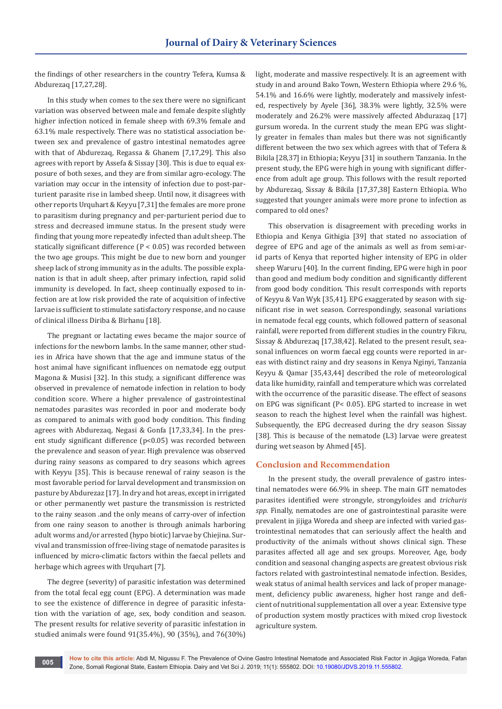the findings of other researchers in the country Tefera, Kumsa & Abdurezaq [17,27,28].

In this study when comes to the sex there were no significant variation was observed between male and female despite slightly higher infection noticed in female sheep with 69.3% female and 63.1% male respectively. There was no statistical association between sex and prevalence of gastro intestinal nematodes agree with that of Abdurezaq, Regassa & Ghanem [7,17,29]. This also agrees with report by Assefa & Sissay [30]. This is due to equal exposure of both sexes, and they are from similar agro-ecology. The variation may occur in the intensity of infection due to post-parturient parasite rise in lambed sheep. Until now, it disagrees with other reports Urquhart & Keyyu [7,31] the females are more prone to parasitism during pregnancy and per-parturient period due to stress and decreased immune status. In the present study were finding that young more repeatedly infected than adult sheep. The statically significant difference (P < 0.05) was recorded between the two age groups. This might be due to new born and younger sheep lack of strong immunity as in the adults. The possible explanation is that in adult sheep, after primary infection, rapid solid immunity is developed. In fact, sheep continually exposed to infection are at low risk provided the rate of acquisition of infective larvae is sufficient to stimulate satisfactory response, and no cause of clinical illness Diriba & Birhanu [18].

The pregnant or lactating ewes became the major source of infections for the newborn lambs. In the same manner, other studies in Africa have shown that the age and immune status of the host animal have significant influences on nematode egg output Magona & Musisi [32]. In this study, a significant difference was observed in prevalence of nematode infection in relation to body condition score. Where a higher prevalence of gastrointestinal nematodes parasites was recorded in poor and moderate body as compared to animals with good body condition. This finding agrees with Abdurezaq, Negasi & Gonfa [17,33,34]. In the present study significant difference (p<0.05) was recorded between the prevalence and season of year. High prevalence was observed during rainy seasons as compared to dry seasons which agrees with Keyyu [35]. This is because renewal of rainy season is the most favorable period for larval development and transmission on pasture by Abdurezaz [17]. In dry and hot areas, except in irrigated or other permanently wet pasture the transmission is restricted to the rainy season .and the only means of carry-over of infection from one rainy season to another is through animals harboring adult worms and/or arrested (hypo biotic) larvae by Chiejina. Survival and transmission of free-living stage of nematode parasites is influenced by micro-climatic factors within the faecal pellets and herbage which agrees with Urquhart [7].

The degree (severity) of parasitic infestation was determined from the total fecal egg count (EPG). A determination was made to see the existence of difference in degree of parasitic infestation with the variation of age, sex, body condition and season. The present results for relative severity of parasitic infestation in studied animals were found 91(35.4%), 90 (35%), and 76(30%)

light, moderate and massive respectively. It is an agreement with study in and around Bako Town, Western Ethiopia where 29.6 %, 54.1% and 16.6% were lightly, moderately and massively infested, respectively by Ayele [36], 38.3% were lightly, 32.5% were moderately and 26.2% were massively affected Abdurazaq [17] gursum woreda. In the current study the mean EPG was slightly greater in females than males but there was not significantly different between the two sex which agrees with that of Tefera & Bikila [28,37] in Ethiopia; Keyyu [31] in southern Tanzania. In the present study, the EPG were high in young with significant difference from adult age group. This follows with the result reported by Abdurezaq, Sissay & Bikila [17,37,38] Eastern Ethiopia. Who suggested that younger animals were more prone to infection as compared to old ones?

This observation is disagreement with preceding works in Ethiopia and Kenya Githigia [39] that stated no association of degree of EPG and age of the animals as well as from semi-arid parts of Kenya that reported higher intensity of EPG in older sheep Waruru [40]. In the current finding, EPG were high in poor than good and medium body condition and significantly different from good body condition. This result corresponds with reports of Keyyu & Van Wyk [35,41]. EPG exaggerated by season with significant rise in wet season. Correspondingly, seasonal variations in nematode fecal egg counts, which followed pattern of seasonal rainfall, were reported from different studies in the country Fikru, Sissay & Abdurezaq [17,38,42]. Related to the present result, seasonal influences on worm faecal egg counts were reported in areas with distinct rainy and dry seasons in Kenya Nginyi, Tanzania Keyyu & Qamar [35,43,44] described the role of meteorological data like humidity, rainfall and temperature which was correlated with the occurrence of the parasitic disease. The effect of seasons on EPG was significant (P< 0.05). EPG started to increase in wet season to reach the highest level when the rainfall was highest. Subsequently, the EPG decreased during the dry season Sissay [38]. This is because of the nematode (L3) larvae were greatest during wet season by Ahmed [45].

# **Conclusion and Recommendation**

In the present study, the overall prevalence of gastro intestinal nematodes were 66.9% in sheep. The main GIT nematodes parasites identified were strongyle, strongyloides and *trichuris spp*. Finally, nematodes are one of gastrointestinal parasite were prevalent in jijiga Woreda and sheep are infected with varied gastrointestinal nematodes that can seriously affect the health and productivity of the animals without shows clinical sign. These parasites affected all age and sex groups. Moreover, Age, body condition and seasonal changing aspects are greatest obvious risk factors related with gastrointestinal nematode infection. Besides, weak status of animal health services and lack of proper management, deficiency public awareness, higher host range and deficient of nutritional supplementation all over a year. Extensive type of production system mostly practices with mixed crop livestock agriculture system.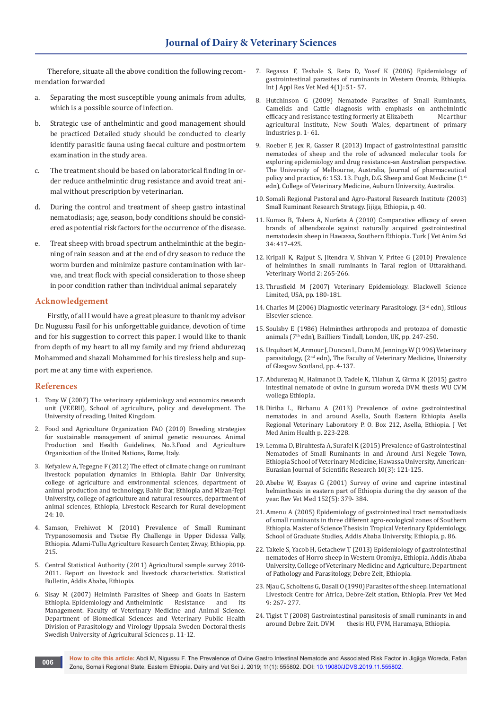Therefore, situate all the above condition the following recommendation forwarded

- a. Separating the most susceptible young animals from adults, which is a possible source of infection.
- b. Strategic use of anthelmintic and good management should be practiced Detailed study should be conducted to clearly identify parasitic fauna using faecal culture and postmortem examination in the study area.
- c. The treatment should be based on laboratorical finding in order reduce anthelmintic drug resistance and avoid treat animal without prescription by veterinarian.
- d. During the control and treatment of sheep gastro intastinal nematodiasis; age, season, body conditions should be considered as potential risk factors for the occurrence of the disease.
- e. Treat sheep with broad spectrum anthelminthic at the beginning of rain season and at the end of dry season to reduce the worm burden and minimize pasture contamination with larvae, and treat flock with special consideration to those sheep in poor condition rather than individual animal separately

## **Acknowledgement**

Firstly, of all I would have a great pleasure to thank my advisor Dr. Nugussu Fasil for his unforgettable guidance, devotion of time and for his suggestion to correct this paper. I would like to thank from depth of my heart to all my family and my friend abdurezaq Mohammed and shazali Mohammed for his tiresless help and sup-

port me at any time with experience.

## **References**

- 1. Tony W (2007) The veterinary epidemiology and economics research unit (VEERU), School of agriculture, policy and development. The University of reading, United Kingdom.
- 2. Food and Agriculture Organization FAO (2010) Breeding strategies for sustainable management of animal genetic resources. Animal Production and Health Guidelines, No.3.Food and Agriculture Organization of the United Nations, Rome, Italy.
- 3. Kefyalew A, Tegegne F (2012) The effect of climate change on ruminant livestock population dynamics in Ethiopia. Bahir Dar University, college of agriculture and environmental sciences, department of animal production and technology, Bahir Dar, Ethiopia and Mizan-Tepi University, college of agriculture and natural resources, department of animal sciences, Ethiopia, Livestock Research for Rural development 24: 10.
- Samson, Frehiwot M (2010) Prevalence of Small Ruminant Trypanosomosis and Tsetse Fly Challenge in Upper Didessa Vally, Ethiopia. Adami-Tullu Agriculture Research Center, Ziway, Ethiopia, pp. 215.
- 5. Central Statistical Authority (2011) Agricultural sample survey 2010- 2011. Report on livestock and livestock characteristics. Statistical Bulletin, Addis Ababa, Ethiopia.
- 6. Sisay M (2007) Helminth Parasites of Sheep and Goats in Eastern Ethiopia. Epidemiology and Anthelmintic Management. Faculty of Veterinary Medicine and Animal Science. Department of Biomedical Sciences and Veterinary Public Health Division of Parasitology and Virology Uppsala Sweden Doctoral thesis Swedish University of Agricultural Sciences p. 11-12.
- 7. Regassa F, Teshale S, Reta D, Yosef K (2006) Epidemiology of gastrointestinal parasites of ruminants in Western Oromia, Ethiopia. Int J Appl Res Vet Med 4(1): 51- 57.
- 8. Hutchinson G (2009) Nematode Parasites of Small Ruminants, Camelids and Cattle diagnosis with emphasis on anthelmintic efficacy and resistance testing formerly at Elizabeth Mcarthur efficacy and resistance testing formerly at Elizabeth agricultural Institute, New South Wales, department of primary Industries p. 1- 61.
- 9. Roeber F, Jex R, Gasser R (2013) Impact of gastrointestinal parasitic nematodes of sheep and the role of advanced molecular tools for exploring epidemiology and drug resistance-an Australian perspective. The University of Melbourne, Australia, Journal of pharmaceutical policy and practice, 6: 153. 13. Pugh, D.G. Sheep and Goat Medicine (1st edn), College of Veterinary Medicine, Auburn University, Australia.
- 10. Somali Regional Pastoral and Agro-Pastoral Research Institute (2003) Small Ruminant Research Strategy. Jijiga, Ethiopia, p. 40.
- 11. Kumsa B, Tolera A, Nurfeta A (2010) Comparative efficacy of seven brands of albendazole against naturally acquired gastrointestinal nematodesin sheep in Hawassa, Southern Ethiopia. Turk J Vet Anim Sci 34: 417-425.
- 12. Kripali K, Rajput S, Jitendra V, Shivan V, Pritee G (2010) Prevalence of helminthes in small ruminants in Tarai region of Uttarakhand. Veterinary World 2: 265-266.
- 13. Thrusfield M (2007) Veterinary Epidemiology. Blackwell Science Limited, USA, pp. 180-181.
- 14. Charles M (2006) Diagnostic veterinary Parasitology. (3rd edn), Stilous Elsevier science.
- 15. Soulsby E (1986) Helminthes arthropods and protozoa of domestic animals (7th edn), Bailliers Tindall, London, UK, pp. 247-250.
- 16. Urquhart M, Armour J, Duncan L, Dunn,M, Jennings W (1996) Veterinary parasitology, (2<sup>nd</sup> edn), The Faculty of Veterinary Medicine, University of Glasgow Scotland, pp. 4-137.
- 17. Abdurezaq M, Haimanot D, Tadele K, Tilahun Z, Girma K (2015) gastro intestinal nematode of ovine in gursum woreda DVM thesis WU CVM wollega Ethiopia.
- 18. [Diriba L, Birhanu A \(2013\) Prevalence of ovine gastrointestinal](http://www.academicjournals.org/app/webroot/article/article1379687148_Lemma%20and%20Abera.pdf)  [nematodes in and around Asella, South Eastern Ethiopia Asella](http://www.academicjournals.org/app/webroot/article/article1379687148_Lemma%20and%20Abera.pdf)  [Regional Veterinary Laboratory P. O. Box 212, Asella, Ethiopia. J Vet](http://www.academicjournals.org/app/webroot/article/article1379687148_Lemma%20and%20Abera.pdf)  [Med Anim Health p. 223-228.](http://www.academicjournals.org/app/webroot/article/article1379687148_Lemma%20and%20Abera.pdf)
- 19. Lemma D, Biruhtesfa A, Surafel K (2015) Prevalence of Gastrointestinal Nematodes of Small Ruminants in and Around Arsi Negele Town, Ethiopia School of Veterinary Medicine, Hawassa University, American-Eurasian Journal of Scientific Research 10(3): 121-125.
- 20. Abebe W, Esayas G (2001) Survey of ovine and caprine intestinal helminthosis in eastern part of Ethiopia during the dry season of the year. Rev Vet Med 152(5): 379- 384.
- 21. Amenu A (2005) Epidemiology of gastrointestinal tract nematodiasis of small ruminants in three different agro-ecological zones of Southern Ethiopia. Master of Science Thesis in Tropical Veterinary Epidemiology, School of Graduate Studies, Addis Ababa University, Ethiopia, p. 86.
- 22. Takele S, Yacob H, Getachew T (2013) Epidemiology of gastrointestinal nematodes of Horro sheep in Western Oromiya, Ethiopia. Addis Ababa University, College of Veterinary Medicine and Agriculture, Department of Pathology and Parasitology, Debre Zeit, Ethiopia.
- 23. Niau C, Scholtens G, Dasali O (1990) Parasites of the sheep. International Livestock Centre for Africa, Debre-Zeit station, Ethiopia. Prev Vet Med 9: 267- 277.
- 24. Tigist T (2008) Gastrointestinal parasitosis of small ruminants in and around Debre Zeit. DVM thesis HU, FVM, Haramaya, Ethiopia. thesis HU, FVM, Haramaya, Ethiopia.

**How to cite this article:** Abdi M, Nigussu F. The Prevalence of Ovine Gastro Intestinal Nematode and Associated Risk Factor in Jigjiga Woreda, Fafan Zone, Somali Regional State, Eastern Ethiopia. Dairy and Vet Sci J. 2019; 11(1): 555802. DOI: [10.19080/JDVS.2019.11.555802.](http://dx.doi.org/10.19080/JDVS.2019.11.555802) **<sup>006</sup>**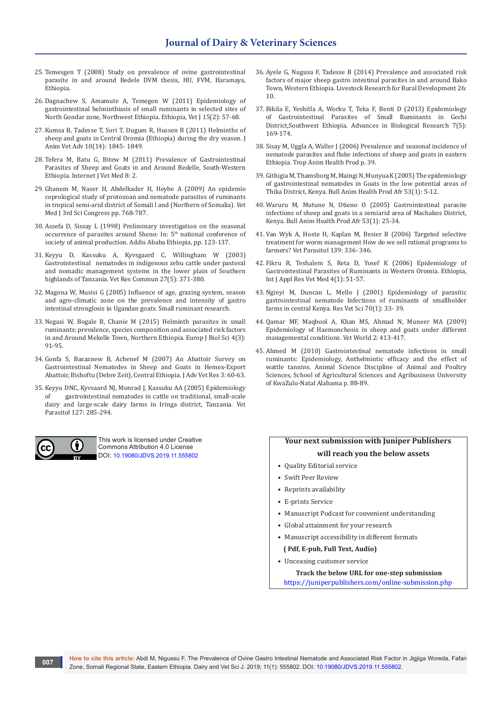- 25. Temesgen T (2008) Study on prevalence of ovine gastrointestinal parasite in and around Bedele DVM thesis, HU, FVM, Haramaya, Ethiopia.
- 26. [Dagnachew S, Amamute A, Temegen W \(2011\) Epidemiology of](https://www.ajol.info/index.php/evj/article/view/67694)  [gastrointestinal helminthiasis of small ruminants in selected sites of](https://www.ajol.info/index.php/evj/article/view/67694)  [North Gondar zone, Northwest Ethiopia. Ethiopia, Vet J 15\(2\): 57-68.](https://www.ajol.info/index.php/evj/article/view/67694)
- 27. Kumsa B, Tadesse T, Sori T, Dugum R, Hussen B (2011) Helminths of sheep and goats in Central Oromia (Ethiopia) during the dry season. J Anim Vet Adv 10(14): 1845- 1849.
- 28. Tefera M, Batu G, Bitew M (2011) Prevalence of Gastrointestinal Parasites of Sheep and Goats in and Around Bedelle, South-Western Ethiopia. Internet J Vet Med 8: 2.
- 29. Ghanem M, Naser H, Abdelkader H, Heybe A (2009) An epidemio coprological study of protozoan and nematode parasites of ruminants in tropical semi-arid district of Somali l and (Northern of Somalia). Vet Med J 3rd Sci Congress pp. 768-787.
- 30. Assefa D, Sissay L (1998) Preliminary investigation on the seasonal occurrence of parasites around Sheno: In: 5<sup>th</sup> national conference of society of animal production. Addis Ababa Ethiopia, pp. 123-137.
- 31. [Keyyu D, Kassuku A, Kyvsgaard C, Willingham W \(2003\)](https://www.ncbi.nlm.nih.gov/pubmed/14509451)  [Gastrointestinal nematodes in indigenous zebu cattle under pastoral](https://www.ncbi.nlm.nih.gov/pubmed/14509451)  [and nomadic management systems in the lower plain of Southern](https://www.ncbi.nlm.nih.gov/pubmed/14509451)  [highlands of Tanzania. Vet Res Commun 27\(5\): 371-380.](https://www.ncbi.nlm.nih.gov/pubmed/14509451)
- 32. Magona W, Musisi G (2005) Influence of age, grazing system, season and agro-climatic zone on the prevalence and intensity of gastro intestinal stronglosis in Ugandan goats. Small ruminant research.
- 33. Negasi W, Bogale B, Chanie M (2015) Helminth parasites in small ruminants: prevalence, species composition and associated risk factors in and Around Mekelle Town, Northern Ethiopia. Europ J Biol Sci 4(3): 91-95.
- 34. Gonfa S, Basaznew B, Achenef M (2007) An Abattoir Survey on Gastrointestinal Nematodes in Sheep and Goats in Hemex-Export Abattoir, Bishoftu (Debre Zeit), Central Ethiopia. J Adv Vet Res 3: 60-63.
- 35. [Keyyu DNC, Kyvsaard NJ, Monrad J, Kassuku AA \(2005\) Epidemiology](https://www.ncbi.nlm.nih.gov/pubmed/15710529)  gastrointestinal nematodes in cattle on traditional, small-scale [dairy and large-scale dairy farms in Iringa district, Tanzania. Vet](https://www.ncbi.nlm.nih.gov/pubmed/15710529)  [Parasitol 127: 285-294.](https://www.ncbi.nlm.nih.gov/pubmed/15710529)



This work is licensed under Creative Commons Attribution 4.0 License DOI: [10.19080/JDVS.2019.11.555802](http://dx.doi.org/10.19080/JDVS.2019.11.555802)

- 36. Ayele G, Nugusa F, Tadesse B (2014) Prevalence and associated risk factors of major sheep gastro intestinal parasites in and around Bako Town, Western Ethiopia. Livestock Research for Rural Development 26: 10.
- 37. Bikila E, Yeshitla A, Worku T, Teka F, Benti D (2013) Epidemiology of Gastrointestinal Parasites of Small Ruminants in Gechi District,Southwest Ethiopia. Advances in Biological Research 7(5): 169-174.
- 38. Sisay M, Uggla A, Waller J (2006) Prevalence and seasonal incidence of nematode parasites and fluke infections of sheep and goats in eastern Ethiopia. Trop Anim Health Prod p. 39.
- 39. [Githigia M, Thamsborg M, Maingi N, Munyua K \(2005\) The epidemiology](https://www.ajol.info/index.php/bahpa/article/view/32684)  [of gastrointestinal nematodes in Goats in the low potential areas of](https://www.ajol.info/index.php/bahpa/article/view/32684)  [Thika District, Kenya. Bull Anim Health Prod Afr 53\(1\): 5-12.](https://www.ajol.info/index.php/bahpa/article/view/32684)
- 40. Waruru M, Mutune N, Otieno O (2005) Gastrointestinal parasite infections of sheep and goats in a semiarid area of Machakos District, Kenya. Bull Anim Health Prod Afr 53(1): 25-34.
- 41. Van Wyk A, Hoste H, Kaplan M, Besier B (2006) Targeted selective treatment for worm management How do we sell rational programs to farmers? Vet Parasitol 139: 336- 346.
- 42. Fikru R, Teshalem S, Reta D, Yosef K (2006) Epidemiology of Gastrointestinal Parasites of Ruminants in Western Oromia. Ethiopia, Int J Appl Res Vet Med 4(1): 51-57.
- 43. [Nginyi M, Duncan L, Mello J \(2001\) Epidemiology of parasitic](https://www.ncbi.nlm.nih.gov/pubmed/11170849)  [gastrointestinal nematode Infections of ruminants of smallholder](https://www.ncbi.nlm.nih.gov/pubmed/11170849)  [farms in central Kenya. Res Vet Sci 70\(1\): 33- 39.](https://www.ncbi.nlm.nih.gov/pubmed/11170849)
- 44. Qamar MF, Maqbool A, Khan MS, Ahmad N, Muneer MA (2009) Epidemiology of Haemonchosis in sheep and goats under different managemental conditions. Vet World 2: 413-417.
- 45. Ahmed M (2010) Gastrointestinal nematode infections in small ruminants: Epidemiology, Anthelmintic efficacy and the effect of wattle tannins. Animal Science Discipline of Animal and Poultry Sciences, School of Agricultural Sciences and Agribusiness University of KwaZulu-Natal Alabama p. 88-89.

#### **Your next submission with Juniper Publishers**

 **will reach you the below assets**

- Quality Editorial service
- Swift Peer Review
- Reprints availability
- E-prints Service
- Manuscript Podcast for convenient understanding
- Global attainment for your research
- Manuscript accessibility in different formats

**( Pdf, E-pub, Full Text, Audio)**

• Unceasing customer service **Track the below URL for one-step submission**  <https://juniperpublishers.com/online-submission.php>